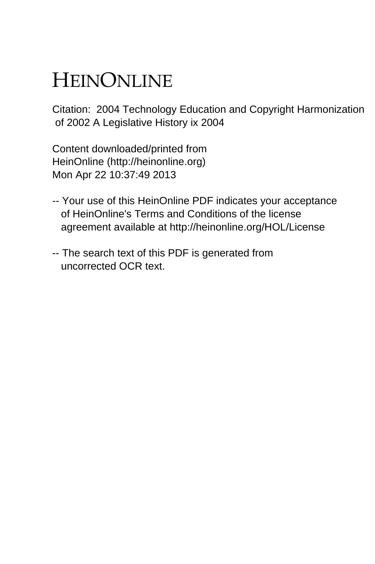## HEINONLINE

Citation: 2004 Technology Education and Copyright Harmonization of 2002 A Legislative History ix 2004

Content downloaded/printed from HeinOnline (http://heinonline.org) Mon Apr 22 10:37:49 2013

- -- Your use of this HeinOnline PDF indicates your acceptance of HeinOnline's Terms and Conditions of the license agreement available at http://heinonline.org/HOL/License
- -- The search text of this PDF is generated from uncorrected OCR text.